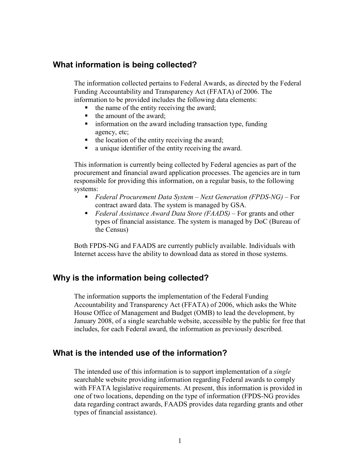### What information is being collected?

The information collected pertains to Federal Awards, as directed by the Federal Funding Accountability and Transparency Act (FFATA) of 2006. The information to be provided includes the following data elements:

- $\blacksquare$  the name of the entity receiving the award;
- $\blacksquare$  the amount of the award;
- $\blacksquare$  information on the award including transaction type, funding agency, etc;
- $\blacksquare$  the location of the entity receiving the award;
- a unique identifier of the entity receiving the award.

This information is currently being collected by Federal agencies as part of the procurement and financial award application processes. The agencies are in turn responsible for providing this information, on a regular basis, to the following systems:

- Federal Procurement Data System Next Generation (FPDS-NG) For contract award data. The system is managed by GSA.
- Federal Assistance Award Data Store (FAADS) For grants and other types of financial assistance. The system is managed by DoC (Bureau of the Census)

Both FPDS-NG and FAADS are currently publicly available. Individuals with Internet access have the ability to download data as stored in those systems.

### Why is the information being collected?

The information supports the implementation of the Federal Funding Accountability and Transparency Act (FFATA) of 2006, which asks the White House Office of Management and Budget (OMB) to lead the development, by January 2008, of a single searchable website, accessible by the public for free that includes, for each Federal award, the information as previously described.

### What is the intended use of the information?

The intended use of this information is to support implementation of a *single* searchable website providing information regarding Federal awards to comply with FFATA legislative requirements. At present, this information is provided in one of two locations, depending on the type of information (FPDS-NG provides data regarding contract awards, FAADS provides data regarding grants and other types of financial assistance).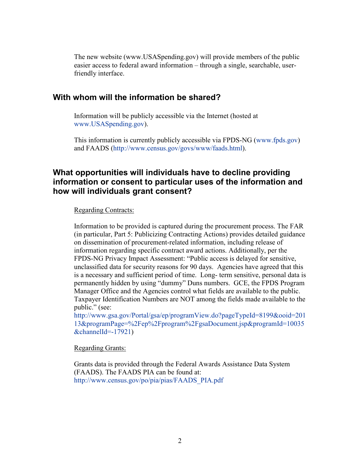The new website (www.USASpending.gov) will provide members of the public easier access to federal award information – through a single, searchable, userfriendly interface.

### With whom will the information be shared?

Information will be publicly accessible via the Internet (hosted at www.USASpending.gov).

This information is currently publicly accessible via FPDS-NG (www.fpds.gov) and FAADS (http://www.census.gov/govs/www/faads.html).

## What opportunities will individuals have to decline providing information or consent to particular uses of the information and how will individuals grant consent?

#### Regarding Contracts:

Information to be provided is captured during the procurement process. The FAR (in particular, Part 5: Publicizing Contracting Actions) provides detailed guidance on dissemination of procurement-related information, including release of information regarding specific contract award actions. Additionally, per the FPDS-NG Privacy Impact Assessment: "Public access is delayed for sensitive, unclassified data for security reasons for 90 days. Agencies have agreed that this is a necessary and sufficient period of time. Long- term sensitive, personal data is permanently hidden by using "dummy" Duns numbers. GCE, the FPDS Program Manager Office and the Agencies control what fields are available to the public. Taxpayer Identification Numbers are NOT among the fields made available to the public." (see:

http://www.gsa.gov/Portal/gsa/ep/programView.do?pageTypeId=8199&ooid=201 13&programPage=%2Fep%2Fprogram%2FgsaDocument.jsp&programId=10035 &channelId=-17921)

Regarding Grants:

Grants data is provided through the Federal Awards Assistance Data System (FAADS). The FAADS PIA can be found at: http://www.census.gov/po/pia/pias/FAADS\_PIA.pdf